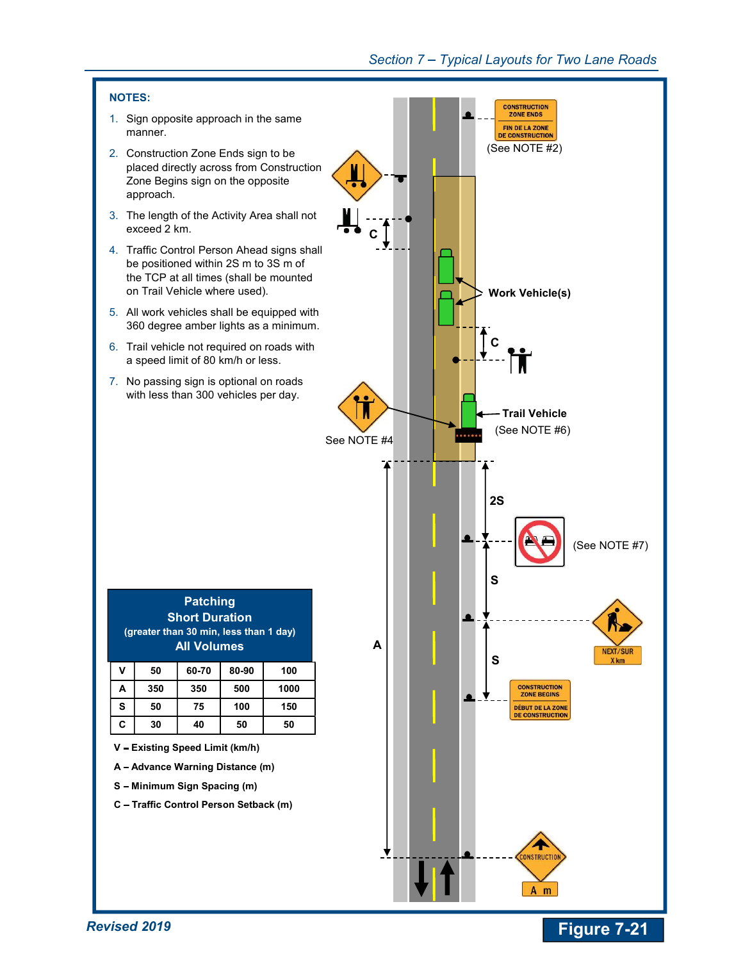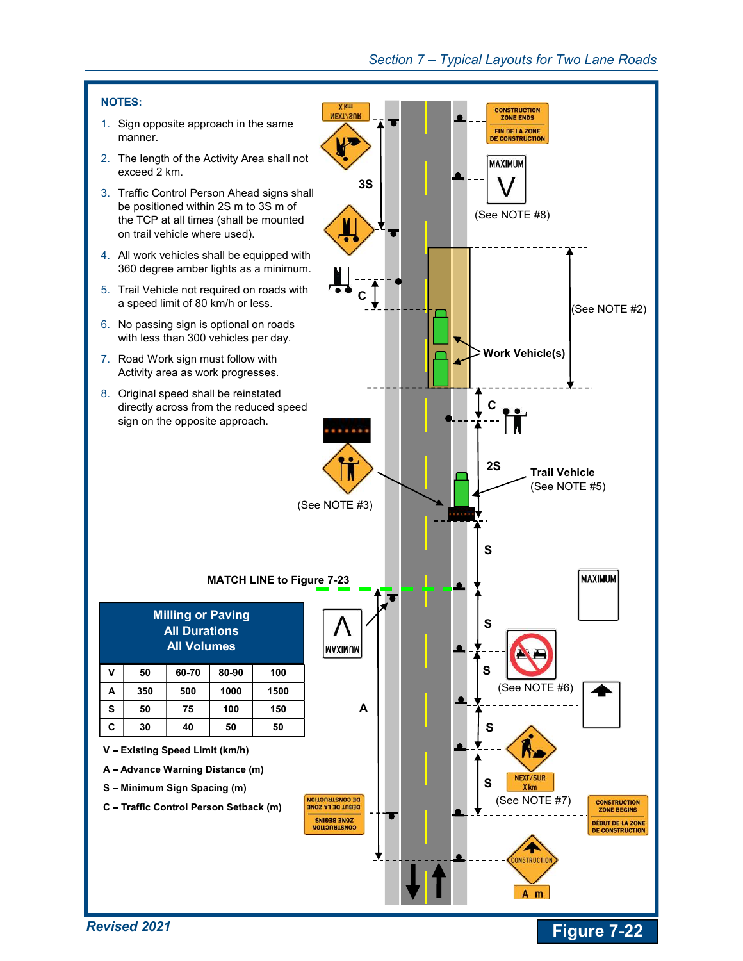

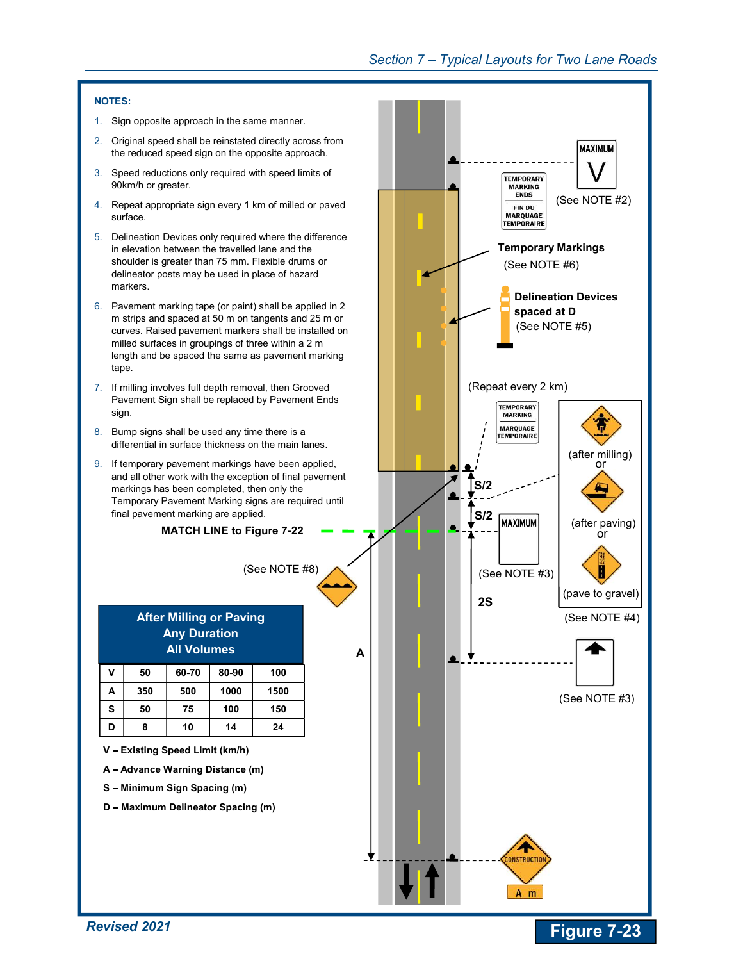## Section 7 – Typical Layouts for Two Lane Roads

## NOTES:

- 1. Sign opposite approach in the same manner.
- 2. Original speed shall be reinstated directly across from the reduced speed sign on the opposite approach.
- 3. Speed reductions only required with speed limits of 90km/h or greater.
- 4. Repeat appropriate sign every 1 km of milled or paved surface.
- 5. Delineation Devices only required where the difference in elevation between the travelled lane and the shoulder is greater than 75 mm. Flexible drums or delineator posts may be used in place of hazard markers.
- 6. Pavement marking tape (or paint) shall be applied in 2 m strips and spaced at 50 m on tangents and 25 m or curves. Raised pavement markers shall be installed on milled surfaces in groupings of three within a 2 m length and be spaced the same as pavement marking tape.
- 7. If milling involves full depth removal, then Grooved Pavement Sign shall be replaced by Pavement Ends sign.
- 8. Bump signs shall be used any time there is a differential in surface thickness on the main lanes.
- 9. If temporary pavement markings have been applied, and all other work with the exception of final pavement markings has been completed, then only the Temporary Pavement Marking signs are required until final pavement marking are applied.

MATCH LINE to Figure 7-22



- V Existing Speed Limit (km/h)
- A Advance Warning Distance (m)
- S Minimum Sign Spacing (m)
- D Maximum Delineator Spacing (m)